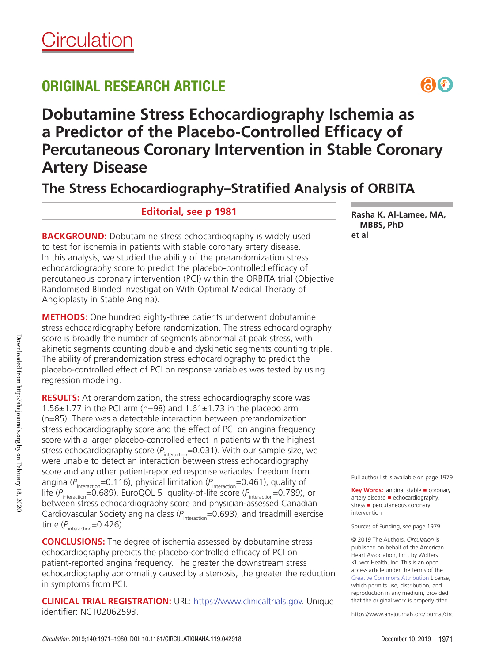

# **Dobutamine Stress Echocardiography Ischemia as a Predictor of the Placebo-Controlled Efficacy of Percutaneous Coronary Intervention in Stable Coronary Artery Disease**

**The Stress Echocardiography–Stratified Analysis of ORBITA**

## **Editorial, see p 1981**

**BACKGROUND:** Dobutamine stress echocardiography is widely used to test for ischemia in patients with stable coronary artery disease. In this analysis, we studied the ability of the prerandomization stress echocardiography score to predict the placebo-controlled efficacy of percutaneous coronary intervention (PCI) within the ORBITA trial (Objective Randomised Blinded Investigation With Optimal Medical Therapy of Angioplasty in Stable Angina).

**METHODS:** One hundred eighty-three patients underwent dobutamine stress echocardiography before randomization. The stress echocardiography score is broadly the number of segments abnormal at peak stress, with akinetic segments counting double and dyskinetic segments counting triple. The ability of prerandomization stress echocardiography to predict the placebo-controlled effect of PCI on response variables was tested by using regression modeling.

**RESULTS:** At prerandomization, the stress echocardiography score was 1.56 $\pm$ 1.77 in the PCI arm (n=98) and 1.61 $\pm$ 1.73 in the placebo arm (n=85). There was a detectable interaction between prerandomization stress echocardiography score and the effect of PCI on angina frequency score with a larger placebo-controlled effect in patients with the highest stress echocardiography score ( $P_{\text{interaction}}$ =0.031). With our sample size, we were unable to detect an interaction between stress echocardiography score and any other patient-reported response variables: freedom from angina (*P*interaction=0.116), physical limitation (*P*interaction=0.461), quality of life (*P*interaction=0.689), EuroQOL 5 quality-of-life score (*P*interaction=0.789), or between stress echocardiography score and physician-assessed Canadian Cardiovascular Society angina class (P<sub>interaction</sub>=0.693), and treadmill exercise time  $(P_{\text{interaction}}=0.426)$ .

**CONCLUSIONS:** The degree of ischemia assessed by dobutamine stress echocardiography predicts the placebo-controlled efficacy of PCI on patient-reported angina frequency. The greater the downstream stress echocardiography abnormality caused by a stenosis, the greater the reduction in symptoms from PCI.

**CLINICAL TRIAL REGISTRATION:** URL: https://www.clinicaltrials.gov. Unique identifier: NCT02062593.

**Rasha K. Al-Lamee, MA, MBBS, PhD et al**

Full author list is available on page 1979

**Key Words:** angina, stable ■ coronary artery disease ◼ echocardiography, stress ■ percutaneous coronary intervention

Sources of Funding, see page 1979

© 2019 The Authors. *Circulation* is published on behalf of the American Heart Association, Inc., by Wolters Kluwer Health, Inc. This is an open access article under the terms of the Creative Commons Attribution License, which permits use, distribution, and reproduction in any medium, provided that the original work is properly cited.

https://www.ahajournals.org/journal/circ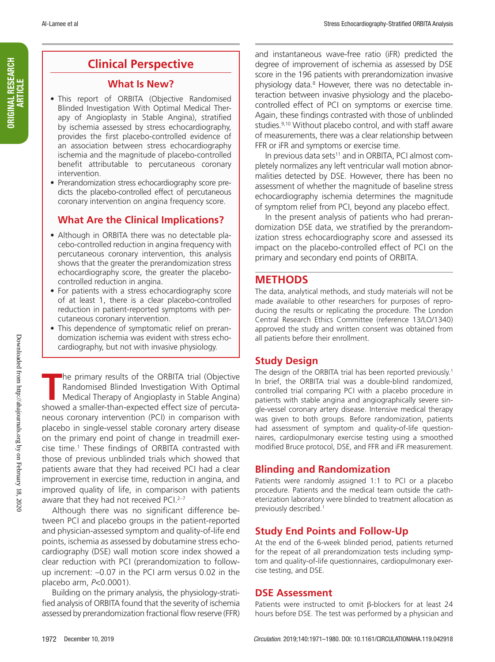ORIGINAL RESEARCH ORIGINAL RESEARCH<br>Article

# **Clinical Perspective**

## **What Is New?**

- This report of ORBITA (Objective Randomised Blinded Investigation With Optimal Medical Therapy of Angioplasty in Stable Angina), stratified by ischemia assessed by stress echocardiography, provides the first placebo-controlled evidence of an association between stress echocardiography ischemia and the magnitude of placebo-controlled benefit attributable to percutaneous coronary intervention.
- Prerandomization stress echocardiography score predicts the placebo-controlled effect of percutaneous coronary intervention on angina frequency score.

# **What Are the Clinical Implications?**

- Although in ORBITA there was no detectable placebo-controlled reduction in angina frequency with percutaneous coronary intervention, this analysis shows that the greater the prerandomization stress echocardiography score, the greater the placebocontrolled reduction in angina.
- For patients with a stress echocardiography score of at least 1, there is a clear placebo-controlled reduction in patient-reported symptoms with percutaneous coronary intervention.
- This dependence of symptomatic relief on prerandomization ischemia was evident with stress echocardiography, but not with invasive physiology.

**T**he primary results of the ORBITA trial (Objective Randomised Blinded Investigation With Optimal Medical Therapy of Angioplasty in Stable Angina) showed a smaller-than-expected effect size of percutaneous coronary intervention (PCI) in comparison with placebo in single-vessel stable coronary artery disease on the primary end point of change in treadmill exercise time.1 These findings of ORBITA contrasted with those of previous unblinded trials which showed that patients aware that they had received PCI had a clear improvement in exercise time, reduction in angina, and improved quality of life, in comparison with patients aware that they had not received PCI.<sup>2-7</sup>

Although there was no significant difference between PCI and placebo groups in the patient-reported and physician-assessed symptom and quality-of-life end points, ischemia as assessed by dobutamine stress echocardiography (DSE) wall motion score index showed a clear reduction with PCI (prerandomization to followup increment: –0.07 in the PCI arm versus 0.02 in the placebo arm, *P*<0.0001).

Building on the primary analysis, the physiology-stratified analysis of ORBITA found that the severity of ischemia assessed by prerandomization fractional flow reserve (FFR)

and instantaneous wave-free ratio (iFR) predicted the degree of improvement of ischemia as assessed by DSE score in the 196 patients with prerandomization invasive physiology data.8 However, there was no detectable interaction between invasive physiology and the placebocontrolled effect of PCI on symptoms or exercise time. Again, these findings contrasted with those of unblinded studies.9,10 Without placebo control, and with staff aware of measurements, there was a clear relationship between FFR or iFR and symptoms or exercise time.

In previous data sets<sup>11</sup> and in ORBITA, PCI almost completely normalizes any left ventricular wall motion abnormalities detected by DSE. However, there has been no assessment of whether the magnitude of baseline stress echocardiography ischemia determines the magnitude of symptom relief from PCI, beyond any placebo effect.

In the present analysis of patients who had prerandomization DSE data, we stratified by the prerandomization stress echocardiography score and assessed its impact on the placebo-controlled effect of PCI on the primary and secondary end points of ORBITA.

# **METHODS**

The data, analytical methods, and study materials will not be made available to other researchers for purposes of reproducing the results or replicating the procedure. The London Central Research Ethics Committee (reference 13/LO/1340) approved the study and written consent was obtained from all patients before their enrollment.

# **Study Design**

The design of the ORBITA trial has been reported previously.<sup>1</sup> In brief, the ORBITA trial was a double-blind randomized, controlled trial comparing PCI with a placebo procedure in patients with stable angina and angiographically severe single-vessel coronary artery disease. Intensive medical therapy was given to both groups. Before randomization, patients had assessment of symptom and quality-of-life questionnaires, cardiopulmonary exercise testing using a smoothed modified Bruce protocol, DSE, and FFR and iFR measurement.

# **Blinding and Randomization**

Patients were randomly assigned 1:1 to PCI or a placebo procedure. Patients and the medical team outside the catheterization laboratory were blinded to treatment allocation as previously described.<sup>1</sup>

# **Study End Points and Follow-Up**

At the end of the 6-week blinded period, patients returned for the repeat of all prerandomization tests including symptom and quality-of-life questionnaires, cardiopulmonary exercise testing, and DSE.

# **DSE Assessment**

Patients were instructed to omit β-blockers for at least 24 hours before DSE. The test was performed by a physician and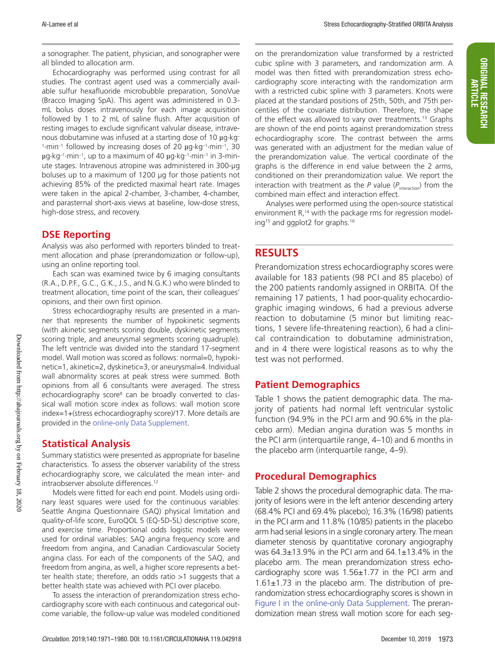**ORIGINAL RESEARCH** 

a sonographer. The patient, physician, and sonographer were all blinded to allocation arm.

Echocardiography was performed using contrast for all studies. The contrast agent used was a commercially available sulfur hexafluoride microbubble preparation, SonoVue (Bracco Imaging SpA). This agent was administered in 0.3 mL bolus doses intravenously for each image acquisition followed by 1 to 2 mL of saline flush. After acquisition of resting images to exclude significant valvular disease, intravenous dobutamine was infused at a starting dose of 10 µg·kg–  $1$ ·min<sup>-1</sup> followed by increasing doses of 20  $\mu$ g·kg<sup>-1</sup>·min<sup>-1</sup>, 30  $\mu$ g·kg<sup>-1</sup>·min<sup>-1</sup>, up to a maximum of 40  $\mu$ g·kg<sup>-1</sup>·min<sup>-1</sup> in 3-minute stages. Intravenous atropine was administered in 300-μg boluses up to a maximum of 1200 μg for those patients not achieving 85% of the predicted maximal heart rate. Images were taken in the apical 2-chamber, 3-chamber, 4-chamber, and parasternal short-axis views at baseline, low-dose stress, high-dose stress, and recovery.

## **DSE Reporting**

Analysis was also performed with reporters blinded to treatment allocation and phase (prerandomization or follow-up), using an online reporting tool.

Each scan was examined twice by 6 imaging consultants (R.A., D.P.F., G.C., G.K., J.S., and N.G.K.) who were blinded to treatment allocation, time point of the scan, their colleagues' opinions, and their own first opinion.

Stress echocardiography results are presented in a manner that represents the number of hypokinetic segments (with akinetic segments scoring double, dyskinetic segments scoring triple, and aneurysmal segments scoring quadruple). The left ventricle was divided into the standard 17-segment model. Wall motion was scored as follows: normal=0, hypokinetic=1, akinetic=2, dyskinetic=3, or aneurysmal=4. Individual wall abnormality scores at peak stress were summed. Both opinions from all 6 consultants were averaged. The stress echocardiography score<sup>8</sup> can be broadly converted to classical wall motion score index as follows: wall motion score index=1+(stress echocardiography score)/17. More details are provided in the online-only Data Supplement.

## **Statistical Analysis**

Summary statistics were presented as appropriate for baseline characteristics. To assess the observer variability of the stress echocardiography score, we calculated the mean inter- and intraobserver absolute differences.<sup>12</sup>

Models were fitted for each end point. Models using ordinary least squares were used for the continuous variables: Seattle Angina Questionnaire (SAQ) physical limitation and quality-of-life score, EuroQOL 5 (EQ-5D-5L) descriptive score, and exercise time. Proportional odds logistic models were used for ordinal variables: SAQ angina frequency score and freedom from angina, and Canadian Cardiovascular Society angina class. For each of the components of the SAQ, and freedom from angina, as well, a higher score represents a better health state; therefore, an odds ratio >1 suggests that a better health state was achieved with PCI over placebo.

To assess the interaction of prerandomization stress echocardiography score with each continuous and categorical outcome variable, the follow-up value was modeled conditioned

on the prerandomization value transformed by a restricted cubic spline with 3 parameters, and randomization arm. A model was then fitted with prerandomization stress echocardiography score interacting with the randomization arm with a restricted cubic spline with 3 parameters. Knots were placed at the standard positions of 25th, 50th, and 75th percentiles of the covariate distribution. Therefore, the shape of the effect was allowed to vary over treatments.<sup>13</sup> Graphs are shown of the end points against prerandomization stress echocardiography score. The contrast between the arms was generated with an adjustment for the median value of the prerandomization value. The vertical coordinate of the graphs is the difference in end value between the 2 arms, conditioned on their prerandomization value. We report the interaction with treatment as the  $P$  value ( $P_{\text{interaction}}$ ) from the combined main effect and interaction effect.

Analyses were performed using the open-source statistical environment R,<sup>14</sup> with the package rms for regression modeling<sup>15</sup> and ggplot<sub>2</sub> for graphs.<sup>16</sup>

# **RESULTS**

Prerandomization stress echocardiography scores were available for 183 patients (98 PCI and 85 placebo) of the 200 patients randomly assigned in ORBITA. Of the remaining 17 patients, 1 had poor-quality echocardiographic imaging windows, 6 had a previous adverse reaction to dobutamine (5 minor but limiting reactions, 1 severe life-threatening reaction), 6 had a clinical contraindication to dobutamine administration, and in 4 there were logistical reasons as to why the test was not performed.

## **Patient Demographics**

Table 1 shows the patient demographic data. The majority of patients had normal left ventricular systolic function (94.9% in the PCI arm and 90.6% in the placebo arm). Median angina duration was 5 months in the PCI arm (interquartile range, 4–10) and 6 months in the placebo arm (interquartile range, 4–9).

## **Procedural Demographics**

Table 2 shows the procedural demographic data. The majority of lesions were in the left anterior descending artery (68.4% PCI and 69.4% placebo); 16.3% (16/98) patients in the PCI arm and 11.8% (10/85) patients in the placebo arm had serial lesions in a single coronary artery. The mean diameter stenosis by quantitative coronary angiography was 64.3±13.9% in the PCI arm and 64.1±13.4% in the placebo arm. The mean prerandomization stress echocardiography score was  $1.56\pm1.77$  in the PCI arm and  $1.61\pm1.73$  in the placebo arm. The distribution of prerandomization stress echocardiography scores is shown in Figure I in the online-only Data Supplement. The prerandomization mean stress wall motion score for each seg-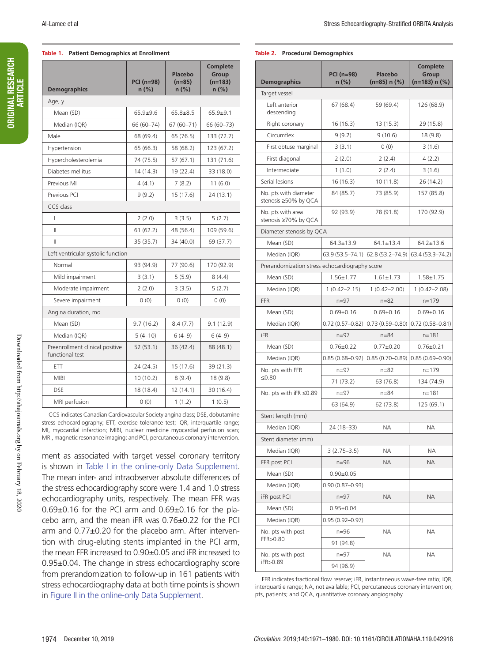ORIGINAL RESEARCH ORIGINAL RESEARCH<br>ARTICLE

| <b>Demographics</b>                                | PCI (n=98)<br>$n$ (%) | <b>Placebo</b><br>$(n=85)$<br>$n$ (%) | <b>Complete</b><br>Group<br>$(n=183)$<br>$n$ (%) |  |
|----------------------------------------------------|-----------------------|---------------------------------------|--------------------------------------------------|--|
| Age, y                                             |                       |                                       |                                                  |  |
| Mean (SD)                                          | $65.9 + 9.6$          | $65.8 \pm 8.5$                        | $65.9 + 9.1$                                     |  |
| Median (IQR)                                       | 66 (60-74)            | 67 (60-71)                            | 66 (60-73)                                       |  |
| Male                                               | 68 (69.4)             | 65 (76.5)                             | 133 (72.7)                                       |  |
| Hypertension                                       | 65 (66.3)             | 58 (68.2)                             | 123 (67.2)                                       |  |
| Hypercholesterolemia                               | 74 (75.5)             | 57(67.1)                              | 131 (71.6)                                       |  |
| Diabetes mellitus                                  | 14 (14.3)             | 19 (22.4)                             | 33 (18.0)                                        |  |
| Previous MI                                        | 4(4.1)                | 7(8.2)                                | 11(6.0)                                          |  |
| Previous PCI                                       | 9(9.2)                | 15 (17.6)                             | 24 (13.1)                                        |  |
| CCS class                                          |                       |                                       |                                                  |  |
| $\overline{1}$                                     | 2(2.0)                | 3(3.5)                                | 5(2.7)                                           |  |
| $\mathbf{I}$                                       | 61(62.2)              | 48 (56.4)                             | 109 (59.6)                                       |  |
| $\mathbf{I}$                                       | 35 (35.7)             | 34 (40.0)                             | 69 (37.7)                                        |  |
| Left ventricular systolic function                 |                       |                                       |                                                  |  |
| Normal                                             | 93 (94.9)             | 77 (90.6)                             | 170 (92.9)                                       |  |
| Mild impairment                                    | 3(3.1)                | 5(5.9)                                | 8(4.4)                                           |  |
| Moderate impairment                                | 2(2.0)                | 3(3.5)                                | 5(2.7)                                           |  |
| Severe impairment                                  | 0(0)                  | 0(0)                                  | 0(0)                                             |  |
| Angina duration, mo                                |                       |                                       |                                                  |  |
| Mean (SD)                                          | 9.7(16.2)             | 8.4(7.7)                              | 9.1(12.9)                                        |  |
| Median (IQR)                                       | $5(4-10)$             | $6(4-9)$                              | $6(4-9)$                                         |  |
| Preenrollment clinical positive<br>functional test | 52(53.1)              | 36(42.4)                              | 88 (48.1)                                        |  |
| ETT                                                | 24 (24.5)             | 15 (17.6)                             | 39 (21.3)                                        |  |
| <b>MIBI</b>                                        | 10(10.2)              | 8(9.4)                                | 18 (9.8)                                         |  |
| DSE                                                | 18 (18.4)             | 12(14.1)                              | 30 (16.4)                                        |  |
| MRI perfusion                                      | 0(0)                  | 1(1.2)                                | 1(0.5)                                           |  |

#### **Table 1. Patient Demographics at Enrollment**

CCS indicates Canadian Cardiovascular Society angina class; DSE, dobutamine stress echocardiography; ETT, exercise tolerance test; IQR, interquartile range; MI, myocardial infarction; MIBI, nuclear medicine myocardial perfusion scan; MRI, magnetic resonance imaging; and PCI, percutaneous coronary intervention.

ment as associated with target vessel coronary territory is shown in Table I in the online-only Data Supplement. The mean inter- and intraobserver absolute differences of the stress echocardiography score were 1.4 and 1.0 stress echocardiography units, respectively. The mean FFR was  $0.69\pm0.16$  for the PCI arm and  $0.69\pm0.16$  for the placebo arm, and the mean iFR was 0.76±0.22 for the PCI arm and 0.77±0.20 for the placebo arm. After intervention with drug-eluting stents implanted in the PCI arm, the mean FFR increased to 0.90±0.05 and iFR increased to 0.95±0.04. The change in stress echocardiography score from prerandomization to follow-up in 161 patients with stress echocardiography data at both time points is shown in Figure II in the online-only Data Supplement.

#### **Table 2. Procedural Demographics**

| <b>Demographics</b>                            | PCI (n=98)<br>$n$ (%) | <b>Placebo</b><br>(n=85) n (%) | <b>Complete</b><br>Group<br>(n=183) n (%) |  |  |
|------------------------------------------------|-----------------------|--------------------------------|-------------------------------------------|--|--|
| Target vessel                                  |                       |                                |                                           |  |  |
| Left anterior<br>descending                    | 67(68.4)              | 59 (69.4)                      | 126 (68.9)                                |  |  |
| Right coronary                                 | 16(16.3)              | 13 (15.3)                      | 29 (15.8)                                 |  |  |
| Circumflex                                     | 9(9.2)                | 9(10.6)                        | 18 (9.8)                                  |  |  |
| First obtuse marginal                          | 3(3.1)                | 0(0)                           | 3(1.6)                                    |  |  |
| First diagonal                                 | 2(2.0)                | 2(2.4)                         | 4(2.2)                                    |  |  |
| Intermediate                                   | 1(1.0)                | 2(2.4)                         | 3(1.6)                                    |  |  |
| Serial lesions                                 | 16(16.3)              | 10(11.8)                       | 26 (14.2)                                 |  |  |
| No. pts with diameter<br>stenosis ≥50% by QCA  | 84 (85.7)             | 73 (85.9)                      | 157 (85.8)                                |  |  |
| No. pts with area<br>stenosis ≥70% by QCA      | 92 (93.9)             | 78 (91.8)                      | 170 (92.9)                                |  |  |
| Diameter stenosis by QCA                       |                       |                                |                                           |  |  |
| Mean (SD)                                      | $64.3 \pm 13.9$       | $64.1 \pm 13.4$                | $64.2 \pm 13.6$                           |  |  |
| Median (IQR)                                   | $63.9(53.5 - 74.1)$   | 62.8 (53.2-74.9)               | 63.4 (53.3-74.2)                          |  |  |
| Prerandomization stress echocardiography score |                       |                                |                                           |  |  |
| Mean (SD)                                      | $1.56 \pm 1.77$       | $1.61 \pm 1.73$                | $1.58 + 1.75$                             |  |  |
| Median (IOR)                                   | $1(0.42 - 2.15)$      | $1(0.42 - 2.00)$               | $1(0.42 - 2.08)$                          |  |  |
| <b>FFR</b>                                     | $n = 97$              | n=82                           | n=179                                     |  |  |
| Mean (SD)                                      | $0.69 \pm 0.16$       | $0.69 + 0.16$                  | $0.69 + 0.16$                             |  |  |
| Median (IQR)                                   | $0.72(0.57 - 0.82)$   | $0.73(0.59 - 0.80)$            | $0.72(0.58 - 0.81)$                       |  |  |
| iFR                                            | $n = 97$              | $n = 84$                       | $n = 181$                                 |  |  |
| Mean (SD)                                      | $0.76 \pm 0.22$       | $0.77 + 0.20$                  | $0.76 \pm 0.21$                           |  |  |
| Median (IQR)                                   | $0.85(0.68 - 0.92)$   | $0.85(0.70 - 0.89)$            | $0.85(0.69 - 0.90)$                       |  |  |
| No. pts with FFR                               | $n = 97$              | $n = 82$                       | $n = 179$                                 |  |  |
| ≤0.80                                          | 71 (73.2)             | 63 (76.8)                      | 134 (74.9)                                |  |  |
| No. pts with iFR $\leq 0.89$                   | $n = 97$              | $n = 84$                       | n=181                                     |  |  |
|                                                | 63 (64.9)             | 62 (73.8)                      | 125 (69.1)                                |  |  |
| Stent length (mm)                              |                       |                                |                                           |  |  |
| Median (IQR)                                   | 24 (18-33)            | <b>NA</b>                      | NА                                        |  |  |
| Stent diameter (mm)                            |                       |                                |                                           |  |  |
| Median (IQR)                                   | $3(2.75 - 3.5)$       | <b>NA</b>                      | ΝA                                        |  |  |
| FFR post PCI                                   | $n = 96$              | ΝA                             | ΝA.                                       |  |  |
| Mean (SD)                                      | $0.90 \pm 0.05$       |                                |                                           |  |  |
| Median (IQR)                                   | $0.90(0.87 - 0.93)$   |                                |                                           |  |  |
| <b>iFR post PCI</b>                            | $n = 97$              | <b>ΝΑ</b>                      | ΝA                                        |  |  |
| Mean (SD)                                      | $0.95 \pm 0.04$       |                                |                                           |  |  |
| Median (IQR)                                   | $0.95(0.92 - 0.97)$   |                                |                                           |  |  |
| No. pts with post                              | n=96                  | ΝA                             | NА                                        |  |  |
| FFR>0.80                                       | 91 (94.8)             |                                |                                           |  |  |
| No. pts with post                              | $n = 97$              | NА                             | NА                                        |  |  |
| iFR>0.89                                       | 94 (96.9)             |                                |                                           |  |  |

FFR indicates fractional flow reserve; iFR, instantaneous wave-free ratio; IQR, interquartile range; NA, not available; PCI, percutaneous coronary intervention; pts, patients; and QCA, quantitative coronary angiography.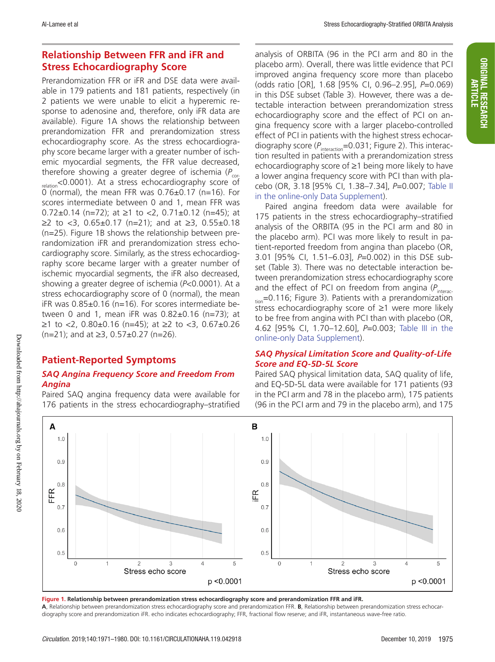## **Relationship Between FFR and iFR and Stress Echocardiography Score**

Prerandomization FFR or iFR and DSE data were available in 179 patients and 181 patients, respectively (in 2 patients we were unable to elicit a hyperemic response to adenosine and, therefore, only iFR data are available). Figure 1A shows the relationship between prerandomization FFR and prerandomization stress echocardiography score. As the stress echocardiography score became larger with a greater number of ischemic myocardial segments, the FFR value decreased, therefore showing a greater degree of ischemia (P<sub>cor-</sub>  $_{\rm relation}$ <0.0001). At a stress echocardiography score of 0 (normal), the mean FFR was  $0.76\pm0.17$  (n=16). For scores intermediate between 0 and 1, mean FFR was 0.72 $\pm$ 0.14 (n=72); at  $\ge$ 1 to <2, 0.71 $\pm$ 0.12 (n=45); at ≥2 to <3, 0.65±0.17 (n=21); and at ≥3, 0.55±0.18 (n=25). Figure 1B shows the relationship between prerandomization iFR and prerandomization stress echocardiography score. Similarly, as the stress echocardiography score became larger with a greater number of ischemic myocardial segments, the iFR also decreased, showing a greater degree of ischemia (*P*<0.0001). At a stress echocardiography score of 0 (normal), the mean iFR was 0.85±0.16 (n=16). For scores intermediate between 0 and 1, mean iFR was  $0.82\pm0.16$  (n=73); at ≥1 to <2, 0.80±0.16 (n=45); at ≥2 to <3, 0.67±0.26 (n=21); and at ≥3, 0.57±0.27 (n=26).

## **Patient-Reported Symptoms**

#### *SAQ Angina Frequency Score and Freedom From Angina*

Paired SAQ angina frequency data were available for 176 patients in the stress echocardiography–stratified

analysis of ORBITA (96 in the PCI arm and 80 in the placebo arm). Overall, there was little evidence that PCI improved angina frequency score more than placebo (odds ratio [OR], 1.68 [95% CI, 0.96–2.95], *P*=0.069) in this DSE subset (Table 3). However, there was a detectable interaction between prerandomization stress echocardiography score and the effect of PCI on angina frequency score with a larger placebo-controlled effect of PCI in patients with the highest stress echocardiography score (P<sub>interaction</sub>=0.031; Figure 2). This interaction resulted in patients with a prerandomization stress echocardiography score of ≥1 being more likely to have a lower angina frequency score with PCI than with placebo (OR, 3.18 [95% CI, 1.38–7.34], *P*=0.007; Table II in the online-only Data Supplement).

Paired angina freedom data were available for 175 patients in the stress echocardiography–stratified analysis of the ORBITA (95 in the PCI arm and 80 in the placebo arm). PCI was more likely to result in patient-reported freedom from angina than placebo (OR, 3.01 [95% CI, 1.51–6.03], *P*=0.002) in this DSE subset (Table 3). There was no detectable interaction between prerandomization stress echocardiography score and the effect of PCI on freedom from angina (P<sub>interac-</sub>  $_{\text{top}}$ =0.116; Figure 3). Patients with a prerandomization stress echocardiography score of ≥1 were more likely to be free from angina with PCI than with placebo (OR, 4.62 [95% CI, 1.70–12.60], *P*=0.003; Table III in the online-only Data Supplement).

#### *SAQ Physical Limitation Score and Quality-of-Life Score and EQ-5D-5L Score*

Paired SAQ physical limitation data, SAQ quality of life, and EQ-5D-5L data were available for 171 patients (93 in the PCI arm and 78 in the placebo arm), 175 patients (96 in the PCI arm and 79 in the placebo arm), and 175



**Figure 1. Relationship between prerandomization stress echocardiography score and prerandomization FFR and iFR. A**, Relationship between prerandomization stress echocardiography score and prerandomization FFR. **B**, Relationship between prerandomization stress echocardiography score and prerandomization iFR. echo indicates echocardiography; FFR, fractional flow reserve; and iFR, instantaneous wave-free ratio.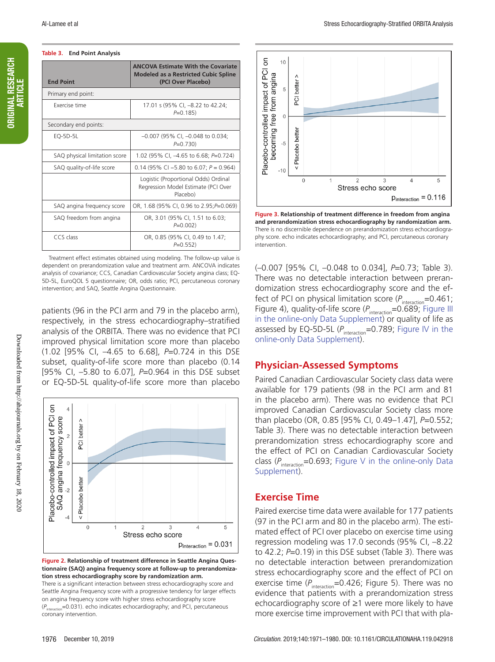ORIGINAL RESEARCH ORIGINAL RESEARCH<br>ARTICLE

#### **Table 3. End Point Analysis**

| <b>End Point</b>              | <b>ANCOVA Estimate With the Covariate</b><br><b>Modeled as a Restricted Cubic Spline</b><br>(PCI Over Placebo) |  |
|-------------------------------|----------------------------------------------------------------------------------------------------------------|--|
| Primary end point:            |                                                                                                                |  |
| Exercise time                 | 17.01 s (95% CI, -8.22 to 42.24;<br>$P=0.185$                                                                  |  |
| Secondary end points:         |                                                                                                                |  |
| EO-5D-5L                      | $-0.007$ (95% CI, $-0.048$ to 0.034;<br>$P=0.730$                                                              |  |
| SAQ physical limitation score | 1.02 (95% CI, -4.65 to 6.68; P=0.724)                                                                          |  |
| SAQ quality-of-life score     | 0.14 (95% CI -5.80 to 6.07; $P = 0.964$ )                                                                      |  |
|                               | Logistic (Proportional Odds) Ordinal<br>Regression Model Estimate (PCI Over<br>Placebo)                        |  |
| SAQ angina frequency score    | OR, 1.68 (95% CI, 0.96 to 2.95; P=0.069)                                                                       |  |
| SAQ freedom from angina       | OR, 3.01 (95% CI, 1.51 to 6.03;<br>$P=0.002$                                                                   |  |
| CCS class                     | OR, 0.85 (95% CI, 0.49 to 1.47;<br>$P=0.552$                                                                   |  |

Treatment effect estimates obtained using modeling. The follow-up value is dependent on prerandomization value and treatment arm. ANCOVA indicates analysis of covariance; CCS, Canadian Cardiovascular Society angina class; EQ-5D-5L, EuroQOL 5 questionnaire; OR, odds ratio; PCI, percutaneous coronary intervention; and SAQ, Seattle Angina Questionnaire.

patients (96 in the PCI arm and 79 in the placebo arm), respectively, in the stress echocardiography–stratified analysis of the ORBITA. There was no evidence that PCI improved physical limitation score more than placebo (1.02 [95% CI, –4.65 to 6.68], *P*=0.724 in this DSE subset, quality-of-life score more than placebo (0.14 [95% CI, –5.80 to 6.07], *P*=0.964 in this DSE subset or EQ-5D-5L quality-of-life score more than placebo



**Figure 2. Relationship of treatment difference in Seattle Angina Questionnaire (SAQ) angina frequency score at follow-up to prerandomization stress echocardiography score by randomization arm.**

There is a significant interaction between stress echocardiography score and Seattle Angina Frequency score with a progressive tendency for larger effects on angina frequency score with higher stress echocardiography score (*P*interaction=0.031). echo indicates echocardiography; and PCI, percutaneous coronary intervention.



**Figure 3. Relationship of treatment difference in freedom from angina and prerandomization stress echocardiography by randomization arm.** There is no discernible dependence on prerandomization stress echocardiography score. echo indicates echocardiography; and PCI, percutaneous coronary intervention.

(–0.007 [95% CI, –0.048 to 0.034], *P*=0.73; Table 3). There was no detectable interaction between prerandomization stress echocardiography score and the effect of PCI on physical limitation score  $(P_{\text{interaction}}=0.461;$ Figure 4), quality-of-life score (P<sub>interaction</sub>=0.689; Figure III in the online-only Data Supplement) or quality of life as assessed by EQ-5D-5L ( $P_{\text{interaction}}$ =0.789; Figure IV in the online-only Data Supplement).

#### **Physician-Assessed Symptoms**

Paired Canadian Cardiovascular Society class data were available for 179 patients (98 in the PCI arm and 81 in the placebo arm). There was no evidence that PCI improved Canadian Cardiovascular Society class more than placebo (OR, 0.85 [95% CI, 0.49–1.47], *P*=0.552; Table 3). There was no detectable interaction between prerandomization stress echocardiography score and the effect of PCI on Canadian Cardiovascular Society class ( $P_{\text{interaction}}$ =0.693; Figure V in the online-only Data Supplement).

### **Exercise Time**

Paired exercise time data were available for 177 patients (97 in the PCI arm and 80 in the placebo arm). The estimated effect of PCI over placebo on exercise time using regression modeling was 17.0 seconds (95% CI, –8.22 to 42.2; *P*=0.19) in this DSE subset (Table 3). There was no detectable interaction between prerandomization stress echocardiography score and the effect of PCI on exercise time  $(P_{\text{interaction}}=0.426;$  Figure 5). There was no evidence that patients with a prerandomization stress echocardiography score of ≥1 were more likely to have more exercise time improvement with PCI that with pla-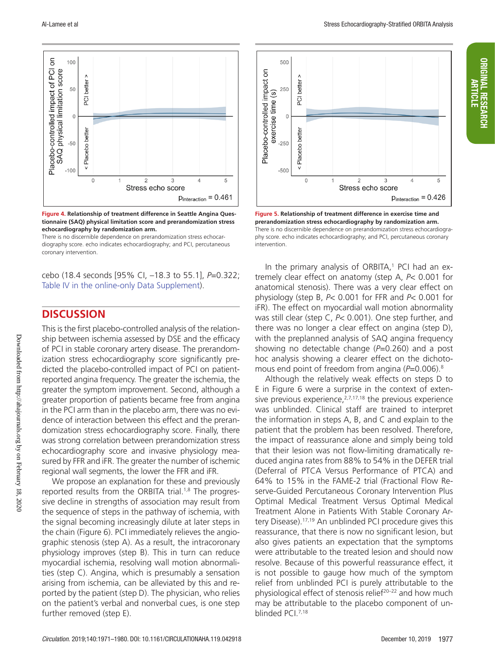

**Figure 4. Relationship of treatment difference in Seattle Angina Questionnaire (SAQ) physical limitation score and prerandomization stress echocardiography by randomization arm.**

There is no discernible dependence on prerandomization stress echocardiography score. echo indicates echocardiography; and PCI, percutaneous coronary intervention.

cebo (18.4 seconds [95% CI, –18.3 to 55.1], *P*=0.322; Table IV in the online-only Data Supplement).

## **DISCUSSION**

This is the first placebo-controlled analysis of the relationship between ischemia assessed by DSE and the efficacy of PCI in stable coronary artery disease. The prerandomization stress echocardiography score significantly predicted the placebo-controlled impact of PCI on patientreported angina frequency. The greater the ischemia, the greater the symptom improvement. Second, although a greater proportion of patients became free from angina in the PCI arm than in the placebo arm, there was no evidence of interaction between this effect and the prerandomization stress echocardiography score. Finally, there was strong correlation between prerandomization stress echocardiography score and invasive physiology measured by FFR and iFR. The greater the number of ischemic regional wall segments, the lower the FFR and iFR.

We propose an explanation for these and previously reported results from the ORBITA trial.<sup>1,8</sup> The progressive decline in strengths of association may result from the sequence of steps in the pathway of ischemia, with the signal becoming increasingly dilute at later steps in the chain (Figure 6). PCI immediately relieves the angiographic stenosis (step A). As a result, the intracoronary physiology improves (step B). This in turn can reduce myocardial ischemia, resolving wall motion abnormalities (step C). Angina, which is presumably a sensation arising from ischemia, can be alleviated by this and reported by the patient (step D). The physician, who relies on the patient's verbal and nonverbal cues, is one step further removed (step E).



**Figure 5. Relationship of treatment difference in exercise time and prerandomization stress echocardiography by randomization arm.** There is no discernible dependence on prerandomization stress echocardiography score. echo indicates echocardiography; and PCI, percutaneous coronary intervention.

In the primary analysis of ORBITA,<sup>1</sup> PCI had an extremely clear effect on anatomy (step A, *P*< 0.001 for anatomical stenosis). There was a very clear effect on physiology (step B, *P*< 0.001 for FFR and *P*< 0.001 for iFR). The effect on myocardial wall motion abnormality was still clear (step C, *P*< 0.001). One step further, and there was no longer a clear effect on angina (step D), with the preplanned analysis of SAQ angina frequency showing no detectable change (*P*=0.260) and a post hoc analysis showing a clearer effect on the dichotomous end point of freedom from angina (P=0.006).<sup>8</sup>

Although the relatively weak effects on steps D to E in Figure 6 were a surprise in the context of extensive previous experience, $2,7,17,18$  the previous experience was unblinded. Clinical staff are trained to interpret the information in steps A, B, and C and explain to the patient that the problem has been resolved. Therefore, the impact of reassurance alone and simply being told that their lesion was not flow-limiting dramatically reduced angina rates from 88% to 54% in the DEFER trial (Deferral of PTCA Versus Performance of PTCA) and 64% to 15% in the FAME-2 trial (Fractional Flow Reserve-Guided Percutaneous Coronary Intervention Plus Optimal Medical Treatment Versus Optimal Medical Treatment Alone in Patients With Stable Coronary Artery Disease).17,19 An unblinded PCI procedure gives this reassurance, that there is now no significant lesion, but also gives patients an expectation that the symptoms were attributable to the treated lesion and should now resolve. Because of this powerful reassurance effect, it is not possible to gauge how much of the symptom relief from unblinded PCI is purely attributable to the physiological effect of stenosis relief<sup>20-22</sup> and how much may be attributable to the placebo component of unblinded PCI.<sup>7,18</sup>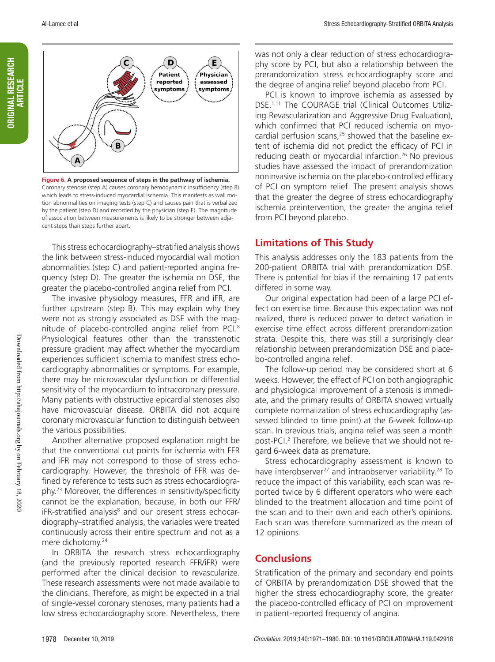**ORIGINAL RESEARCH** 



**Figure 6. A proposed sequence of steps in the pathway of ischemia.** Coronary stenosis (step A) causes coronary hemodynamic insufficiency (step B) which leads to stress-induced myocardial ischemia. This manifests as wall motion abnormalities on imaging tests (step C) and causes pain that is verbalized by the patient (step D) and recorded by the physician (step E). The magnitude of association between measurements is likely to be stronger between adjacent steps than steps further apart.

This stress echocardiography–stratified analysis shows the link between stress-induced myocardial wall motion abnormalities (step C) and patient-reported angina frequency (step D). The greater the ischemia on DSE, the greater the placebo-controlled angina relief from PCI.

The invasive physiology measures, FFR and iFR, are further upstream (step B). This may explain why they were not as strongly associated as DSE with the magnitude of placebo-controlled angina relief from PCI.8 Physiological features other than the transstenotic pressure gradient may affect whether the myocardium experiences sufficient ischemia to manifest stress echocardiography abnormalities or symptoms. For example, there may be microvascular dysfunction or differential sensitivity of the myocardium to intracoronary pressure. Many patients with obstructive epicardial stenoses also have microvascular disease. ORBITA did not acquire coronary microvascular function to distinguish between the various possibilities.

Another alternative proposed explanation might be that the conventional cut points for ischemia with FFR and iFR may not correspond to those of stress echocardiography. However, the threshold of FFR was defined by reference to tests such as stress echocardiography.23 Moreover, the differences in sensitivity/specificity cannot be the explanation, because, in both our FFR/ iFR-stratified analysis<sup>8</sup> and our present stress echocardiography–stratified analysis, the variables were treated continuously across their entire spectrum and not as a mere dichotomy.24

In ORBITA the research stress echocardiography (and the previously reported research FFR/iFR) were performed after the clinical decision to revascularize. These research assessments were not made available to the clinicians. Therefore, as might be expected in a trial of single-vessel coronary stenoses, many patients had a low stress echocardiography score. Nevertheless, there

was not only a clear reduction of stress echocardiography score by PCI, but also a relationship between the prerandomization stress echocardiography score and the degree of angina relief beyond placebo from PCI.

PCI is known to improve ischemia as assessed by DSE.<sup>1,11</sup> The COURAGE trial (Clinical Outcomes Utilizing Revascularization and Aggressive Drug Evaluation), which confirmed that PCI reduced ischemia on myocardial perfusion scans,<sup>25</sup> showed that the baseline extent of ischemia did not predict the efficacy of PCI in reducing death or myocardial infarction.<sup>26</sup> No previous studies have assessed the impact of prerandomization noninvasive ischemia on the placebo-controlled efficacy of PCI on symptom relief. The present analysis shows that the greater the degree of stress echocardiography ischemia preintervention, the greater the angina relief from PCI beyond placebo.

## **Limitations of This Study**

This analysis addresses only the 183 patients from the 200-patient ORBITA trial with prerandomization DSE. There is potential for bias if the remaining 17 patients differed in some way.

Our original expectation had been of a large PCI effect on exercise time. Because this expectation was not realized, there is reduced power to detect variation in exercise time effect across different prerandomization strata. Despite this, there was still a surprisingly clear relationship between prerandomization DSE and placebo-controlled angina relief.

The follow-up period may be considered short at 6 weeks. However, the effect of PCI on both angiographic and physiological improvement of a stenosis is immediate, and the primary results of ORBITA showed virtually complete normalization of stress echocardiography (assessed blinded to time point) at the 6-week follow-up scan. In previous trials, angina relief was seen a month post-PCI.<sup>2</sup> Therefore, we believe that we should not regard 6-week data as premature.

Stress echocardiography assessment is known to have interobserver<sup>27</sup> and intraobserver variability.<sup>28</sup> To reduce the impact of this variability, each scan was reported twice by 6 different operators who were each blinded to the treatment allocation and time point of the scan and to their own and each other's opinions. Each scan was therefore summarized as the mean of 12 opinions.

## **Conclusions**

Stratification of the primary and secondary end points of ORBITA by prerandomization DSE showed that the higher the stress echocardiography score, the greater the placebo-controlled efficacy of PCI on improvement in patient-reported frequency of angina.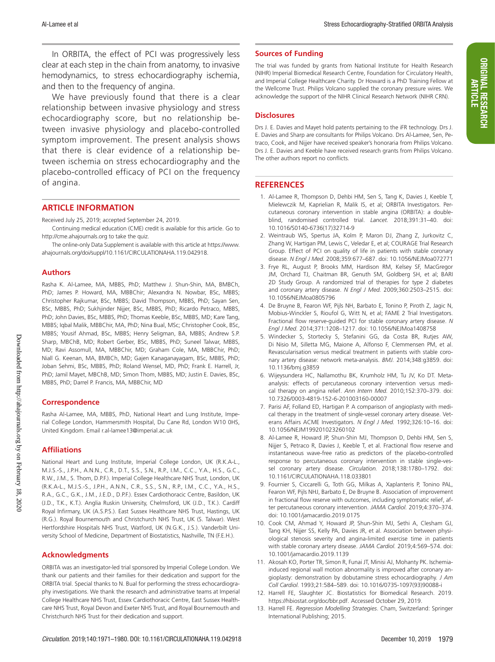**ORIGINAL RESEARCH** 

In ORBITA, the effect of PCI was progressively less clear at each step in the chain from anatomy, to invasive hemodynamics, to stress echocardiography ischemia, and then to the frequency of angina.

We have previously found that there is a clear relationship between invasive physiology and stress echocardiography score, but no relationship between invasive physiology and placebo-controlled symptom improvement. The present analysis shows that there is clear evidence of a relationship between ischemia on stress echocardiography and the placebo-controlled efficacy of PCI on the frequency of angina.

#### **ARTICLE INFORMATION**

Received July 25, 2019; accepted September 24, 2019.

Continuing medical education (CME) credit is available for this article. Go to http://cme.ahajournals.org to take the quiz.

The online-only Data Supplement is available with this article at https://www. ahajournals.org/doi/suppl/10.1161/CIRCULATIONAHA.119.042918.

#### **Authors**

Rasha K. Al-Lamee, MA, MBBS, PhD; Matthew J. Shun-Shin, MA, BMBCh, PhD; James P. Howard, MA, MBBChir; Alexandra N. Nowbar, BSc, MBBS; Christopher Rajkumar, BSc, MBBS; David Thompson, MBBS, PhD; Sayan Sen, BSc, MBBS, PhD; Sukhjinder Nijjer, BSc, MBBS, PhD; Ricardo Petraco, MBBS, PhD; John Davies, BSc, MBBS, PhD; Thomas Keeble, BSc, MBBS, MD; Kare Tang, MBBS; Iqbal Malik, MBBChir, MA, PhD; Nina Bual, MSc; Christopher Cook, BSc, MBBS; Yousif Ahmad, BSc, MBBS; Henry Seligman, BA, MBBS; Andrew S.P. Sharp, MBChB, MD; Robert Gerber, BSc, MBBS, PhD; Suneel Talwar, MBBS, MD; Ravi Assomull, MA, MBBChir, MD; Graham Cole, MA, MBBChir, PhD; Niall G. Keenan, MA, BMBCh, MD; Gajen Kanaganayagam, BSc, MBBS, PhD; Joban Sehmi, BSc, MBBS, PhD; Roland Wensel, MD, PhD; Frank E. Harrell, Jr, PhD; Jamil Mayet, MBChB, MD; Simon Thom, MBBS, MD; Justin E. Davies, BSc, MBBS, PhD; Darrel P. Francis, MA, MBBChir, MD

#### **Correspondence**

Rasha Al-Lamee, MA, MBBS, PhD, National Heart and Lung Institute, Imperial College London, Hammersmith Hospital, Du Cane Rd, London W10 0HS, United Kingdom. Email [r.al-lamee13@imperial.ac.uk](mailto:r.al-lamee13@imperial.ac.uk)

#### **Affiliations**

National Heart and Lung Institute, Imperial College London, UK (R.K.A-L., M.J.S.-S., J.P.H., A.N.N., C.R., D.T., S.S., S.N., R.P., I.M., C.C., Y.A., H.S., G.C., R.W., J.M., S. Thom, D.P.F.). Imperial College Healthcare NHS Trust, London, UK (R.K.A-L., M.J.S.-S., J.P.H., A.N.N., C.R., S.S., S.N., R.P., I.M., C.C., Y.A., H.S., R.A., G.C., G.K., J.M., J.E.D., D.P.F.). Essex Cardiothoracic Centre, Basildon, UK (J.D., T.K., K.T.). Anglia Ruskin University, Chelmsford, UK (J.D., T.K.). Cardiff Royal Infirmary, UK (A.S.P.S.). East Sussex Healthcare NHS Trust, Hastings, UK (R.G.). Royal Bournemouth and Christchurch NHS Trust, UK (S. Talwar). West Hertfordshire Hospitals NHS Trust, Watford, UK (N.G.K., J.S.). Vanderbilt University School of Medicine, Department of Biostatistics, Nashville, TN (F.E.H.).

#### **Acknowledgments**

ORBITA was an investigator-led trial sponsored by Imperial College London. We thank our patients and their families for their dedication and support for the ORBITA trial. Special thanks to N. Bual for performing the stress echocardiography investigations. We thank the research and administrative teams at Imperial College Healthcare NHS Trust, Essex Cardiothoracic Centre, East Sussex Healthcare NHS Trust, Royal Devon and Exeter NHS Trust, and Royal Bournemouth and Christchurch NHS Trust for their dedication and support.

The trial was funded by grants from National Institute for Health Research (NIHR) Imperial Biomedical Research Centre, Foundation for Circulatory Health, and Imperial College Healthcare Charity. Dr Howard is a PhD Training Fellow at the Wellcome Trust. Philips Volcano supplied the coronary pressure wires. We acknowledge the support of the NIHR Clinical Research Network (NIHR CRN).

#### **Disclosures**

Drs J. E. Davies and Mayet hold patents pertaining to the iFR technology. Drs J. E. Davies and Sharp are consultants for Philips Volcano. Drs Al-Lamee, Sen, Petraco, Cook, and Nijjer have received speaker's honoraria from Philips Volcano. Drs J. E. Davies and Keeble have received research grants from Philips Volcano. The other authors report no conflicts.

#### **REFERENCES**

- 1. Al-Lamee R, Thompson D, Dehbi HM, Sen S, Tang K, Davies J, Keeble T, Mielewczik M, Kaprielian R, Malik IS, et al; ORBITA Investigators. Percutaneous coronary intervention in stable angina (ORBITA): a doubleblind, randomised controlled trial. *Lancet.* 2018;391:31–40. doi: 10.1016/S0140-6736(17)32714-9
- 2. Weintraub WS, Spertus JA, Kolm P, Maron DJ, Zhang Z, Jurkovitz C, Zhang W, Hartigan PM, Lewis C, Veledar E, et al; COURAGE Trial Research Group. Effect of PCI on quality of life in patients with stable coronary disease. *N Engl J Med.* 2008;359:677–687. doi: 10.1056/NEJMoa072771
- 3. Frye RL, August P, Brooks MM, Hardison RM, Kelsey SF, MacGregor JM, Orchard TJ, Chaitman BR, Genuth SM, Goldberg SH, et al; BARI 2D Study Group. A randomized trial of therapies for type 2 diabetes and coronary artery disease. *N Engl J Med.* 2009;360:2503–2515. doi: 10.1056/NEJMoa0805796
- 4. De Bruyne B, Fearon WF, Pijls NH, Barbato E, Tonino P, Piroth Z, Jagic N, Mobius-Winckler S, Rioufol G, Witt N, et al; FAME 2 Trial Investigators. Fractional flow reserve-guided PCI for stable coronary artery disease. *N Engl J Med.* 2014;371:1208–1217. doi: 10.1056/NEJMoa1408758
- 5. Windecker S, Stortecky S, Stefanini GG, da Costa BR, Rutjes AW, Di Nisio M, Silletta MG, Maione A, Alfonso F, Clemmensen PM, et al. Revascularisation versus medical treatment in patients with stable coronary artery disease: network meta-analysis. *BMJ.* 2014;348:g3859. doi: 10.1136/bmj.g3859
- 6. Wijeysundera HC, Nallamothu BK, Krumholz HM, Tu JV, Ko DT. Metaanalysis: effects of percutaneous coronary intervention versus medical therapy on angina relief. *Ann Intern Med.* 2010;152:370–379. doi: 10.7326/0003-4819-152-6-201003160-00007
- 7. Parisi AF, Folland ED, Hartigan P. A comparison of angioplasty with medical therapy in the treatment of single-vessel coronary artery disease. Veterans Affairs ACME Investigators. *N Engl J Med.* 1992;326:10–16. doi: 10.1056/NEJM199201023260102
- 8. Al-Lamee R, Howard JP, Shun-Shin MJ, Thompson D, Dehbi HM, Sen S, Nijjer S, Petraco R, Davies J, Keeble T, et al. Fractional flow reserve and instantaneous wave-free ratio as predictors of the placebo-controlled response to percutaneous coronary intervention in stable single-vessel coronary artery disease. *Circulation.* 2018;138:1780–1792. doi: 10.1161/CIRCULATIONAHA.118.033801
- 9. Fournier S, Ciccarelli G, Toth GG, Milkas A, Xaplanteris P, Tonino PAL, Fearon WF, Pijls NHJ, Barbato E, De Bruyne B. Association of improvement in fractional flow reserve with outcomes, including symptomatic relief, after percutaneous coronary intervention. *JAMA Cardiol.* 2019;4:370–374. doi: 10.1001/jamacardio.2019.0175
- 10. Cook CM, Ahmad Y, Howard JP, Shun-Shin MJ, Sethi A, Clesham GJ, Tang KH, Nijjer SS, Kelly PA, Davies JR, et al. Association between physiological stenosis severity and angina-limited exercise time in patients with stable coronary artery disease. *JAMA Cardiol.* 2019;4:569–574. doi: 10.1001/jamacardio.2019.1139
- 11. Akosah KO, Porter TR, Simon R, Funai JT, Minisi AJ, Mohanty PK. Ischemiainduced regional wall motion abnormality is improved after coronary angioplasty: demonstration by dobutamine stress echocardiography. *J Am Coll Cardiol.* 1993;21:584–589. doi: 10.1016/0735-1097(93)90088-i
- 12. Harrell FE, Slaughter JC. Biostatistics for Biomedical Research. 2019. https://hbiostat.org/doc/bbr.pdf. Accessed October 29, 2019.
- 13. Harrell FE. *Regression Modelling Strategies*. Cham, Switzerland: Springer International Publishing; 2015.